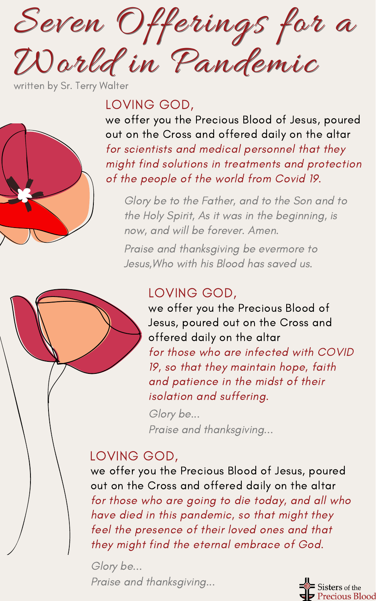Seven Offerings for a Seven Offerings for a World in Pandemic World in Pandemic

written by Sr. Terry Walter

# LOVING GOD,

we offer you the Precious Blood of Jesus, poured out on the Cross and offered daily on the altar for scientists and medical personnel that they might find solutions in treatments and protection of the people of the world from Covid 19.

Glory be to the Father, and to the Son and to the Holy Spirit, As it was in the beginning, is now, and will be forever. Amen.

Praise and thanksgiving be evermore to Jesus,Who with his Blood has saved us.

## LOVING GOD,

we offer you the Precious Blood of Jesus, poured out on the Cross and offered daily on the altar for those who are infected with COVID 19, so that they maintain hope, faith and patience in the midst of their isolation and suffering.

Glory be... Praise and thanksgiving...

## LOVING GOD,

we offer you the Precious Blood of Jesus, poured out on the Cross and offered daily on the altar for those who are going to die today, and all who have died in this pandemic, so that might they feel the presence of their loved ones and that they might find the eternal embrace of God.

Glory be... Praise and thanksgiving...